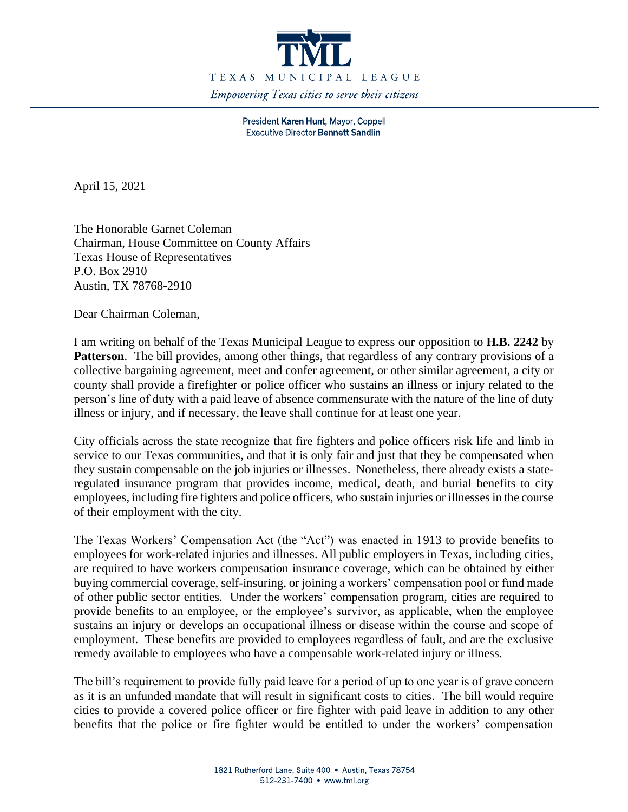

President Karen Hunt, Mayor, Coppell **Executive Director Bennett Sandlin** 

April 15, 2021

The Honorable Garnet Coleman Chairman, House Committee on County Affairs Texas House of Representatives P.O. Box 2910 Austin, TX 78768-2910

Dear Chairman Coleman,

I am writing on behalf of the Texas Municipal League to express our opposition to **H.B. 2242** by **Patterson**. The bill provides, among other things, that regardless of any contrary provisions of a collective bargaining agreement, meet and confer agreement, or other similar agreement, a city or county shall provide a firefighter or police officer who sustains an illness or injury related to the person's line of duty with a paid leave of absence commensurate with the nature of the line of duty illness or injury, and if necessary, the leave shall continue for at least one year.

City officials across the state recognize that fire fighters and police officers risk life and limb in service to our Texas communities, and that it is only fair and just that they be compensated when they sustain compensable on the job injuries or illnesses. Nonetheless, there already exists a stateregulated insurance program that provides income, medical, death, and burial benefits to city employees, including fire fighters and police officers, who sustain injuries or illnesses in the course of their employment with the city.

The Texas Workers' Compensation Act (the "Act") was enacted in 1913 to provide benefits to employees for work-related injuries and illnesses. All public employers in Texas, including cities, are required to have workers compensation insurance coverage, which can be obtained by either buying commercial coverage, self-insuring, or joining a workers' compensation pool or fund made of other public sector entities. Under the workers' compensation program, cities are required to provide benefits to an employee, or the employee's survivor, as applicable, when the employee sustains an injury or develops an occupational illness or disease within the course and scope of employment. These benefits are provided to employees regardless of fault, and are the exclusive remedy available to employees who have a compensable work-related injury or illness.

The bill's requirement to provide fully paid leave for a period of up to one year is of grave concern as it is an unfunded mandate that will result in significant costs to cities. The bill would require cities to provide a covered police officer or fire fighter with paid leave in addition to any other benefits that the police or fire fighter would be entitled to under the workers' compensation